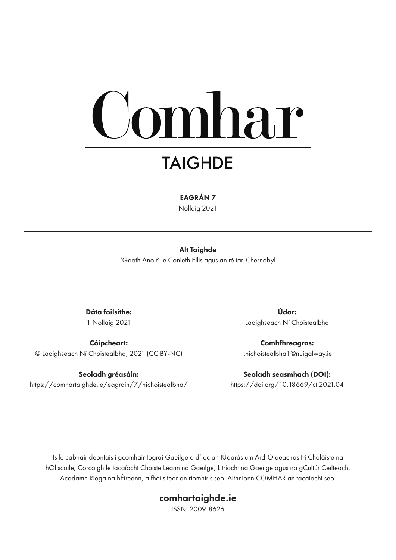# mhar

## **TAIGHDE**

EAGRÁN 7

Nollaig 2021

#### Alt Taighde

'Gaoth Anoir' le Conleth Ellis agus an ré iar-Chernobyl

Dáta foilsithe: 1 Nollaig 2021

Cóipcheart: © Laoighseach Ní Choistealbha, 2021 (CC BY-NC)

Seoladh gréasáin: https://comhartaighde.ie/eagrain/7/nichoistealbha/

Údar: Laoighseach Ní Choistealbha

Comhfhreagras: l.nichoistealbha1@nuigalway.ie

Seoladh seasmhach (DOI): https://doi.org/10.18669/ct.2021.04

Is le cabhair deontais i gcomhair tograí Gaeilge a d'íoc an tÚdarás um Ard-Oideachas trí Choláiste na hOllscoile, Corcaigh le tacaíocht Choiste Léann na Gaeilge, Litríocht na Gaeilge agus na gCultúr Ceilteach, Acadamh Ríoga na hÉireann, a fhoilsítear an ríomhiris seo. Aithníonn COMHAR an tacaíocht seo.

#### comhartaighde.ie

ISSN: 2009-8626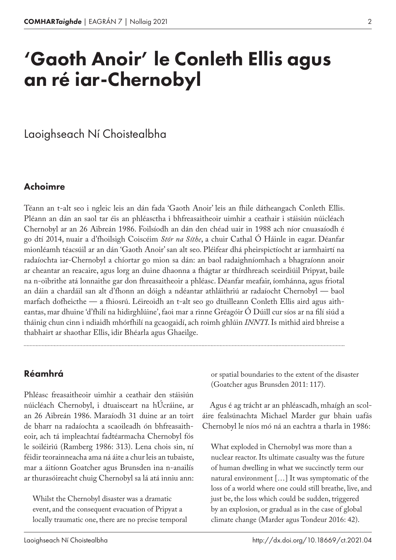## 'Gaoth Anoir' le Conleth Ellis agus an ré iar-Chernobyl

Laoighseach Ní Choistealbha

#### Achoimre

Téann an t‑alt seo i ngleic leis an dán fada 'Gaoth Anoir' leis an fhile dátheangach Conleth Ellis. Pléann an dán an saol tar éis an phléasctha i bhfreasaitheoir uimhir a ceathair i stáisiún núicléach Chernobyl ar an 26 Aibreán 1986. Foilsíodh an dán den chéad uair in 1988 ach níor cnuasaíodh é go dtí 2014, nuair a d'fhoilsigh Coiscéim *Stór na Síthe*, a chuir Cathal Ó Háinle in eagar. Déanfar mionléamh téacsúil ar an dán 'Gaoth Anoir' san alt seo. Pléifear dhá pheirspictíocht ar iarmhairtí na radaíochta iar-Chernobyl a chíortar go mion sa dán: an baol radaighníomhach a bhagraíonn anoir ar cheantar an reacaire, agus lorg an duine dhaonna a fhágtar ar thírdhreach sceirdiúil Pripyat, baile na n‑oibrithe atá lonnaithe gar don fhreasaitheoir a phléasc. Déanfar meafair, íomhánna, agus friotal an dáin a chardáil san alt d'fhonn an dóigh a ndéantar athláithriú ar radaíocht Chernobyl — baol marfach dofheicthe — a fhiosrú. Léireoidh an t-alt seo go dtuilleann Conleth Ellis aird agus aitheantas, mar dhuine 'd'fhilí na hidirghlúine', faoi mar a rinne Gréagóir Ó Dúill cur síos ar na filí siúd a tháinig chun cinn i ndiaidh mhórfhilí na gcaogaidí, ach roimh ghlúin *INNTI*. Is mithid aird bhreise a thabhairt ar shaothar Ellis, idir Bhéarla agus Ghaeilge.

Réamhrá

Phléasc freasaitheoir uimhir a ceathair den stáisiún núicléach Chernobyl, i dtuaisceart na hÚcráine, ar an 26 Aibreán 1986. Maraíodh 31 duine ar an toirt de bharr na radaíochta a scaoileadh ón bhfreasaitheoir, ach tá impleachtaí fadtéarmacha Chernobyl fós le soiléiriú (Ramberg 1986: 313). Lena chois sin, ní féidir teorainneacha ama ná áite a chur leis an tubaiste, mar a áitíonn Goatcher agus Brunsden ina n-anailís ar thurasóireacht chuig Chernobyl sa lá atá inniu ann:

Whilst the Chernobyl disaster was a dramatic event, and the consequent evacuation of Pripyat a locally traumatic one, there are no precise temporal

Laoighseach Ní Choistealbha

or spatial boundaries to the extent of the disaster (Goatcher agus Brunsden 2011: 117).

Agus é ag trácht ar an phléascadh, mhaígh an scoláire fealsúnachta Michael Marder gur bhain uafás Chernobyl le níos mó ná an eachtra a tharla in 1986:

What exploded in Chernobyl was more than a nuclear reactor. Its ultimate casualty was the future of human dwelling in what we succinctly term our natural environment […] It was symptomatic of the loss of a world where one could still breathe, live, and just be, the loss which could be sudden, triggered by an explosion, or gradual as in the case of global climate change (Marder agus Tondeur 2016: 42).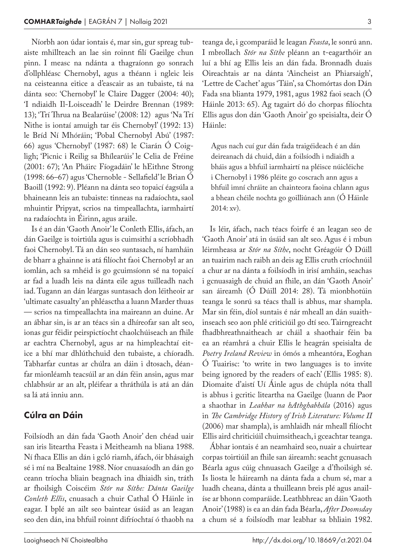Níorbh aon údar iontais é, mar sin, gur spreag tub‑ aiste mhillteach an lae sin roinnt filí Gaeilge chun pinn. I measc na ndánta a thagraíonn go sonrach d'ollphléasc Chernobyl, agus a théann i ngleic leis na ceisteanna eitice a d'eascair as an tubaiste, tá na dánta seo: 'Chernobyl' le Claire Dagger (2004: 40); 'I ndiaidh Il-Loisceadh' le Deirdre Brennan (1989: 13); 'Trí Thrua na Bealarúise' (2008: 12) agus 'Na Trí Nithe is iontaí amuigh tar éis Chernobyl' (1992: 13) le Bríd Ní Mhóráin; 'Pobal Chernobyl Abú' (1987: 66) agus 'Chernobyl' (1987: 68) le Ciarán Ó Coig‑ ligh; 'Picnic i Reilig sa Bhílearúis' le Celia de Fréine (2001: 67); 'An Pháirc Fíogadáin' le hEithne Strong (1998: 66–67) agus 'Chernoble - Sellafield' le Brian Ó Baoill (1992: 9). Pléann na dánta seo topaicí éagsúla a bhaineann leis an tubaiste: tinneas na radaíochta, saol mhuintir Pripyat, scrios na timpeallachta, iarmhairtí na radaíochta in Éirinn, agus araile.

Is é an dán 'Gaoth Anoir' le Conleth Ellis, áfach, an dán Gaeilge is toirtiúla agus is cuimsithí a scríobhadh faoi Chernobyl. Tá an dán seo suntasach, ní hamháin de bharr a ghainne is atá filíocht faoi Chernobyl ar an iomlán, ach sa mhéid is go gcuimsíonn sé na topaicí ar fad a luadh leis na dánta eile agus tuilleadh nach iad. Tugann an dán léargas suntasach don léitheoir ar 'ultimate casualty' an phléasctha a luann Marder thuas — scrios na timpeallachta ina maireann an duine. Ar an ábhar sin, is ar an téacs sin a dhíreofar san alt seo, ionas gur féidir peirspictíocht chaolchúiseach an fhile ar eachtra Chernobyl, agus ar na himpleachtaí eitice a bhí mar dhlúthchuid den tubaiste, a chíoradh. Tabharfar cuntas ar chúlra an dáin i dtosach, déan‑ far mionléamh teacsúil ar an dán féin ansin, agus mar chlabhsúr ar an alt, pléifear a thráthúla is atá an dán sa lá atá inniu ann.

#### Cúlra an Dáin

Foilsíodh an dán fada 'Gaoth Anoir' den chéad uair san iris liteartha Feasta i Meitheamh na bliana 1988. Ní fhaca Ellis an dán i gcló riamh, áfach, óir bhásaigh sé i mí na Bealtaine 1988. Níor cnuasaíodh an dán go ceann tríocha bliain beagnach ina dhiaidh sin, tráth ar fhoilsigh Coiscéim *Stór na Síthe: Dánta Gaeilge Conleth Ellis*, cnuasach a chuir Cathal Ó Háinle in eagar. I bplé an ailt seo baintear úsáid as an leagan seo den dán, ina bhfuil roinnt difríochtaí ó thaobh na teanga de, i gcomparáid le leagan *Feasta*, le sonrú ann. I mbrollach *Stór na Síthe* pléann an t‑eagarthóir an luí a bhí ag Ellis leis an dán fada. Bronnadh duais Oireachtais ar na dánta 'Aincheist an Phiarsaigh', 'Lettre de Cachet' agus 'Táin', sa Chomórtas don Dán Fada sna blianta 1979, 1981, agus 1982 faoi seach (Ó Háinle 2013: 65). Ag tagairt dó do chorpas filíochta Ellis agus don dán 'Gaoth Anoir' go speisialta, deir Ó Háinle:

Agus nach cuí gur dán fada traigéideach é an dán deireanach dá chuid, dán a foilsíodh i ndiaidh a bháis agus a bhfuil iarmhairtí na pléisce núicléiche i Chernobyl i 1986 pléite go coscrach ann agus a bhfuil imní chráite an chainteora faoina chlann agus a bhean chéile nochta go goilliúnach ann (Ó Háinle 2014: xv).

Is léir, áfach, nach téacs foirfe é an leagan seo de 'Gaoth Anoir' atá in úsáid san alt seo. Agus é i mbun léirmheasa ar *Stór na Síthe*, nocht Gréagóir Ó Dúill an tuairim nach raibh an deis ag Ellis cruth críochnúil a chur ar na dánta a foilsíodh in irisí amháin, seachas i gcnuasaigh de chuid an fhile, an dán 'Gaoth Anoir' san áireamh (Ó Dúill 2014: 28). Tá mionbhotúin teanga le sonrú sa téacs thall is abhus, mar shampla. Mar sin féin, díol suntais é nár mheall an dán suaithinseach seo aon phlé criticiúil go dtí seo. Tairngreacht fhadbhreathnaitheach ar cháil a shaothair féin ba ea an réamhrá a chuir Ellis le heagrán speisialta de *Poetry Ireland Review* in ómós a mheantóra, Eoghan Ó Tuairisc: 'to write in two languages is to invite being ignored by the readers of each' (Ellis 1985: 8). Diomaite d'aistí Uí Áinle agus de chúpla nóta thall is abhus i gcritic liteartha na Gaeilge (luann de Paor a shaothar in *Leabhar na hAthghabhála* (2016) agus in *The Cambridge History of Irish Literature: Volume II* (2006) mar shampla), is amhlaidh nár mheall filíocht Ellis aird chriticiúil chuimsitheach, i gceachtar teanga.

Ábhar iontais é an neamhaird seo, nuair a chuirtear corpas toirtiúil an fhile san áireamh: seacht gcnuasach Béarla agus cúig chnuasach Gaeilge a d'fhoilsigh sé. Is liosta le háireamh na dánta fada a chum sé, mar a luadh cheana, dánta a thuilleann breis plé agus anail‑ íse ar bhonn comparáide. Leathbhreac an dáin 'Gaoth Anoir' (1988) is ea an dán fada Béarla, *After Doomsday* a chum sé a foilsíodh mar leabhar sa bhliain 1982.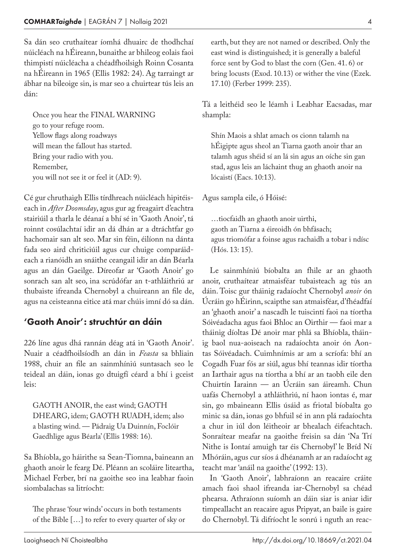Sa dán seo cruthaítear íomhá dhuairc de thodhchaí núicléach na hÉireann, bunaithe ar bhileog eolais faoi thimpistí núicléacha a chéadfhoilsigh Roinn Cosanta na hÉireann in 1965 (Ellis 1982: 24). Ag tarraingt ar ábhar na bileoige sin, is mar seo a chuirtear tús leis an dán:

Once you hear the FINAL WARNING go to your refuge room. Yellow flags along roadways will mean the fallout has started. Bring your radio with you. Remember, you will not see it or feel it (AD: 9).

Cé gur chruthaigh Ellis tírdhreach núicléach hipitéiseach in *After Doomsday*, agus gur ag freagairt d'eachtra stairiúil a tharla le déanaí a bhí sé in 'Gaoth Anoir', tá roinnt cosúlachtaí idir an dá dhán ar a dtráchtfar go hachomair san alt seo. Mar sin féin, éilíonn na dánta fada seo aird chriticiúil agus cur chuige comparáideach a rianóidh an snáithe ceangail idir an dán Béarla agus an dán Gaeilge. Díreofar ar 'Gaoth Anoir' go sonrach san alt seo, ina scrúdófar an t‑athláithriú ar thubaiste ifreanda Chernobyl a chuireann an file de, agus na ceisteanna eitice atá mar chúis imní dó sa dán.

#### 'Gaoth Anoir': struchtúr an dáin

226 líne agus dhá rannán déag atá in 'Gaoth Anoir'. Nuair a céadfhoilsíodh an dán in *Feasta* sa bhliain 1988, chuir an file an sainmhíniú suntasach seo le teideal an dáin, ionas go dtuigfí céard a bhí i gceist leis:

GAOTH ANOIR, the east wind; GAOTH DHEARG, idem; GAOTH RUADH, idem; also a blasting wind. — Pádraig Ua Duinnín, Foclóir Gaedhlige agus Béarla' (Ellis 1988: 16).

Sa Bhíobla, go háirithe sa Sean-Tiomna, baineann an ghaoth anoir le fearg Dé. Pléann an scoláire liteartha, Michael Ferber, brí na gaoithe seo ina leabhar faoin siombalachas sa litríocht:

The phrase 'four winds' occurs in both testaments of the Bible […] to refer to every quarter of sky or earth, but they are not named or described. Only the east wind is distinguished; it is generally a baleful force sent by God to blast the corn (Gen. 41. 6) or bring locusts (Exod. 10.13) or wither the vine (Ezek. 17.10) (Ferber 1999: 235).

Tá a leithéid seo le léamh i Leabhar Eacsadas, mar shampla:

Shín Maois a shlat amach os cionn talamh na hÉigipte agus sheol an Tiarna gaoth anoir thar an talamh agus shéid sí an lá sin agus an oíche sin gan stad, agus leis an láchaint thug an ghaoth anoir na lócaistí (Eacs. 10:13).

Agus sampla eile, ó Hóisé:

…tiocfaidh an ghaoth anoir uirthi, gaoth an Tiarna a éireoidh ón bhfásach; agus triomófar a foinse agus rachaidh a tobar i ndísc (Hós. 13: 15).

Le sainmhíniú bíobalta an fhile ar an ghaoth anoir, cruthaítear atmaisféar tubaisteach ag tús an dáin. Toisc gur tháinig radaíocht Chernobyl *anoir* ón Úcráin go hÉirinn, scaipthe san atmaisféar, d'fhéadfaí an 'ghaoth anoir' a nascadh le tuiscintí faoi na tíortha Sóivéadacha agus faoi Bhloc an Oirthir — faoi mar a tháinig díoltas Dé anoir mar phlá sa Bhíobla, tháinig baol nua-aoiseach na radaíochta anoir ón Aontas Sóivéadach. Cuimhnímis ar am a scríofa: bhí an Cogadh Fuar fós ar siúl, agus bhí teannas idir tíortha an Iarthair agus na tíortha a bhí ar an taobh eile den Chuirtín Iarainn — an Úcráin san áireamh. Chun uafás Chernobyl a athláithriú, ní haon iontas é, mar sin, go mbaineann Ellis úsáid as friotal bíobalta go minic sa dán, ionas go bhfuil sé in ann plá radaíochta a chur in iúl don léitheoir ar bhealach éifeachtach. Sonraítear meafar na gaoithe freisin sa dán 'Na Trí Nithe is Iontaí amuigh tar éis Chernobyl' le Bríd Ní Mhóráin, agus cur síos á dhéanamh ar an radaíocht ag teacht mar 'anáil na gaoithe' (1992: 13).

In 'Gaoth Anoir', labhraíonn an reacaire cráite amach faoi shaol ifreanda iar-Chernobyl sa chéad phearsa. Athraíonn suíomh an dáin siar is aniar idir timpeallacht an reacaire agus Pripyat, an baile is gaire do Chernobyl. Tá difríocht le sonrú i nguth an reac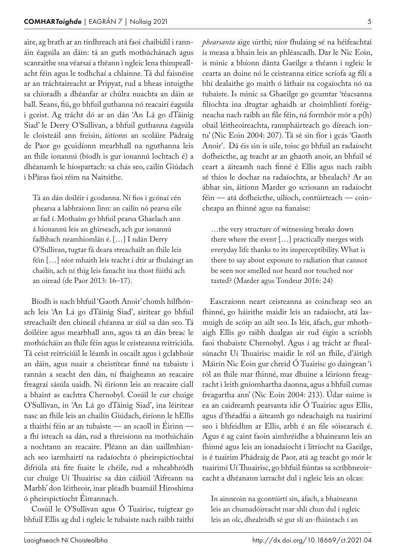aire, ag brath ar an tírdhreach atá faoi chaibidil i rann‑ áin éagsúla an dáin: tá an guth mothúchánach agus scanraithe sna véarsaí a théann i ngleic lena thimpeallacht féin agus le todhchaí a chlainne. Tá dul faisnéise ar an tráchtaireacht ar Pripyat, rud a bheas intuigthe sa chíoradh a dhéanfar ar chúlra nuachta an dáin ar ball. Seans, fiú, go bhfuil guthanna nó reacairí éagsúla i gceist. Ag trácht dó ar an dán 'An Lá go dTáinig Siad' le Derry O'Sullivan, a bhfuil guthanna éagsúla le cloisteáil ann freisin, áitíonn an scoláire Pádraig de Paor go gcuidíonn mearbhall na nguthanna leis an fhile ionannú (bíodh is gur ionannú lochtach é) a dhéanamh le híospartach: sa chás seo, cailín Giúdach i bPáras faoi réim na Naitsithe.

Tá an dán doiléir i gcodanna. Ní fios i gcónaí cén phearsa a labhraíonn linn: an cailín nó pearsa eile ar fad í. Mothaím go bhfuil pearsa Ghaelach ann á hionannú leis an ghirseach, ach gur ionannú fadhbach neamhiomlán é. […] I ndán Derry O'Sullivan, tugtar fá deara streachailt an fhile leis féin […] níor mhaith leis teacht i dtír ar fhulaingt an chailín, ach ní thig leis fanacht ina thost fúithi ach an oiread (de Paor 2013: 16–17).

Bíodh is nach bhfuil 'Gaoth Anoir' chomh hilfhónach leis 'An Lá go dTáinig Siad', airítear go bhfuil streachailt den chineál chéanna ar siúl sa dán seo. Tá doiléire agus mearbhall ann, agus tá an dán breac le mothúcháin an fhile féin agus le ceisteanna reitriciúla. Tá ceist reitriciúil le léamh in oscailt agus i gclabhsúr an dáin, agus nuair a cheistítear finné na tubaiste i rannán a seacht den dán, ní fhaigheann an reacaire freagraí sásúla uaidh. Ní éiríonn leis an reacaire ciall a bhaint as eachtra Chernobyl. Cosúil le cur chuige O'Sullivan, in 'An Lá go dTáinig Siad', ina léirítear nasc an fhile leis an chailín Giúdach, éiríonn le hEllis a thaithí féin ar an tubaiste — an scaoll in Éirinn a fhí isteach sa dán, rud a threisíonn na mothúcháin a nochtann an reacaire. Pléann an dán uaillmhianach seo iarmhairtí na radaíochta ó pheirspictíochtaí difriúla atá fite fuaite le chéile, rud a mheabhródh cur chuige Uí Thuairisc sa dán cáiliúil 'Aifreann na Marbh' don léitheoir, inar pléadh buamáil Hiroshima ó pheirspictíocht Éireannach.

Cosúil le O'Sullivan agus Ó Tuairisc, tuigtear go bhfuil Ellis ag dul i ngleic le tubaiste nach raibh taithí *phearsanta* aige uirthi; níor fhulaing sé na héifeachtaí is measa a bhain leis an phléascadh. Dar le Nic Eoin, is minic a bhíonn dánta Gaeilge a théann i ngleic le cearta an duine nó le ceisteanna eitice scríofa ag filí a bhí dealaithe go maith ó láthair na cogaíochta nó na tubaiste. Is minic sa Ghaeilge go gcumtar 'téacsanna filíochta ina dtugtar aghaidh ar choimhlintí foréigneacha nach raibh an file féin, ná formhór mór a p(h) obail léitheoireachta, rannpháirteach go díreach iontu' (Nic Eoin 2004: 207). Tá sé sin fíor i gcás 'Gaoth Anoir'. Dá éis sin is uile, toisc go bhfuil an radaíocht dofheicthe, ag teacht ar an ghaoth anoir, an bhfuil sé ceart a áiteamh nach finné é Ellis agus nach raibh sé thíos le dochar na radaíochta, ar bhealach? Ar an ábhar sin, áitíonn Marder go scriosann an radaíocht féin — atá dofheicthe, uilíoch, contúirteach — coincheapa an fhinné agus na fianaise:

…the very structure of witnessing breaks down there where the event […] practically merges with everyday life thanks to its imperceptibility. What is there to say about exposure to radiation that cannot be seen nor smelled nor heard nor touched nor tasted? (Marder agus Tondeur 2016: 24)

Eascraíonn neart ceisteanna as coincheap seo an fhinné, go háirithe maidir leis an radaíocht, atá lasmuigh de scóip an ailt seo. Is léir, áfach, gur mhothaigh Ellis go raibh dualgas air rud éigin a scríobh faoi thubaiste Chernobyl. Agus í ag trácht ar fhealsúnacht Uí Thuairisc maidir le ról an fhile, d'áitigh Máirín Nic Eoin gur chreid Ó Tuairisc go daingean 'i ról an fhile mar fhinné, mar dhuine a léiríonn freagracht i leith gníomhartha daonna, agus a bhfuil cumas freagartha ann' (Nic Eoin 2004: 213). Údar suime is ea an caidreamh pearsanta idir Ó Tuairisc agus Ellis, agus d'fhéadfaí a áiteamh go ndeachaigh na tuairimí seo i bhfeidhm ar Ellis, arbh é an file sóisearach é. Agus é ag caint faoin aimhréidhe a bhaineann leis an fhinné agus leis an ionadaíocht i litríocht na Gaeilge, is é tuairim Phádraig de Paor, atá ag teacht go mór le tuairimí Uí Thuairisc, go bhfuil fiúntas sa scríbhneoireacht a dhéanann iarracht dul i ngleic leis an olcas:

In ainneoin na gcontúirtí sin, áfach, a bhaineann leis an chumadóireacht mar shlí chun dul i ngleic leis an olc, dhealródh sé gur slí an-fhiúntach í an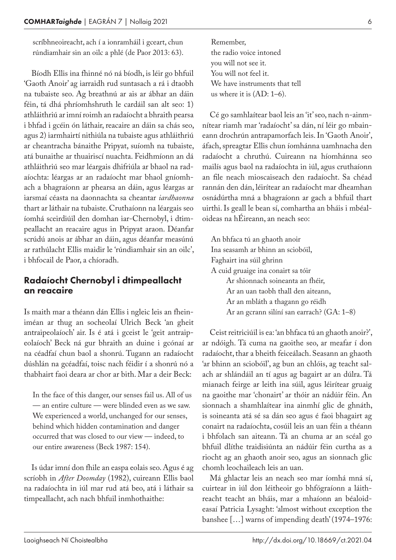scríbhneoireacht, ach í a ionramháil i gceart, chun rúndiamhair sin an oilc a phlé (de Paor 2013: 63).

Bíodh Ellis ina fhinné nó ná bíodh, is léir go bhfuil 'Gaoth Anoir' ag iarraidh rud suntasach a rá i dtaobh na tubaiste seo. Ag breathnú ar ais ar ábhar an dáin féin, tá dhá phríomhshruth le cardáil san alt seo: 1) athláithriú ar imní roimh an radaíocht a bhraith pearsa i bhfad i gcéin ón láthair, reacaire an dáin sa chás seo, agus 2) iarmhairtí nithiúla na tubaiste agus athláithriú ar cheantracha bánaithe Pripyat, suíomh na tubaiste, atá bunaithe ar thuairiscí nuachta. Feidhmíonn an dá athláithriú seo mar léargais dhifriúla ar bhaol na rad‑ aíochta: léargas ar an radaíocht mar bhaol gníomhach a bhagraíonn ar phearsa an dáin, agus léargas ar iarsmaí céasta na daonnachta sa cheantar *iardhaonna* thart ar láthair na tubaiste. Cruthaíonn na léargais seo íomhá sceirdiúil den domhan iar-Chernobyl, i dtim‑ peallacht an reacaire agus in Pripyat araon. Déanfar scrúdú anois ar ábhar an dáin, agus déanfar measúnú ar rathúlacht Ellis maidir le 'rúndiamhair sin an oilc', i bhfocail de Paor, a chíoradh.

#### Radaíocht Chernobyl i dtimpeallacht an reacaire

Is maith mar a théann dán Ellis i ngleic leis an fheiniméan ar thug an socheolaí Ulrich Beck 'an gheit antraipeolaíoch' air. Is é atá i gceist le 'geit antraipeolaíoch' Beck ná gur bhraith an duine i gcónaí ar na céadfaí chun baol a shonrú. Tugann an radaíocht dúshlán na gcéadfaí, toisc nach féidir í a shonrú nó a thabhairt faoi deara ar chor ar bith. Mar a deir Beck:

In the face of this danger, our senses fail us. All of us — an entire culture — were blinded even as we saw. We experienced a world, unchanged for our senses, behind which hidden contamination and danger occurred that was closed to our view — indeed, to our entire awareness (Beck 1987: 154).

Is údar imní don fhile an easpa eolais seo. Agus é ag scríobh in *After Doomday* (1982), cuireann Ellis baol na radaíochta in iúl mar rud atá beo, atá i láthair sa timpeallacht, ach nach bhfuil inmhothaithe:

Remember, the radio voice intoned you will not see it. You will not feel it. We have instruments that tell us where it is (AD: 1–6).

Cé go samhlaítear baol leis an 'it' seo, nach n-ainmnítear riamh mar 'radaíocht' sa dán, ní léir go mbaineann drochrún antrapamorfach leis. In 'Gaoth Anoir', áfach, spreagtar Ellis chun íomhánna uamhnacha den radaíocht a chruthú. Cuireann na híomhánna seo mailís agus baol na radaíochta in iúl, agus cruthaíonn an file neach mioscaiseach den radaíocht. Sa chéad rannán den dán, léirítear an radaíocht mar dheamhan osnádúrtha mná a bhagraíonn ar gach a bhfuil thart uirthi. Is geall le bean sí, comhartha an bháis i mbéaloideas na hÉireann, an neach seo:

An bhfaca tú an ghaoth anoir Ina seasamh ar bhinn an sciobóil, Faghairt ina súil ghrinn A cuid gruaige ina conairt sa tóir Ar shionnach soineanta an fhéir, Ar an uan taobh thall den aiteann, Ar an mbláth a thagann go réidh Ar an gcrann silíní san earrach? (GA: 1–8)

Ceist reitriciúil is ea: 'an bhfaca tú an ghaoth anoir?', ar ndóigh. Tá cuma na gaoithe seo, ar meafar í don radaíocht, thar a bheith feiceálach. Seasann an ghaoth 'ar bhinn an sciobóil', ag bun an chlóis, ag teacht salach ar shlándáil an tí agus ag bagairt ar an dúlra. Tá mianach feirge ar leith ina súil, agus léirítear gruaig na gaoithe mar 'chonairt' ar thóir an nádúir féin. An sionnach a shamhlaítear ina ainmhí glic de ghnáth, is soineanta atá sé sa dán seo agus é faoi bhagairt ag conairt na radaíochta, cosúil leis an uan féin a théann i bhfolach san aiteann. Tá an chuma ar an scéal go bhfuil dlíthe traidisiúnta an nádúir féin curtha as a riocht ag an ghaoth anoir seo, agus an sionnach glic chomh leochaileach leis an uan.

Má ghlactar leis an neach seo mar íomhá mná sí, cuirtear in iúl don léitheoir go bhfógraíonn a láithreacht teacht an bháis, mar a mhaíonn an béaloideasaí Patricia Lysaght: 'almost without exception the banshee […] warns of impending death' (1974–1976: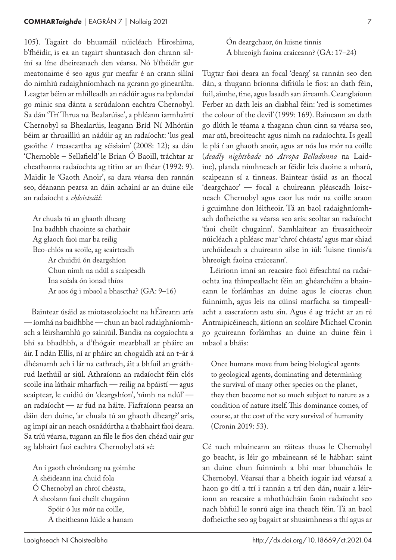105). Tagairt do bhuamáil núicléach Hiroshima, b'fhéidir, is ea an tagairt shuntasach don chrann silíní sa líne dheireanach den véarsa. Nó b'fhéidir gur meatonaime é seo agus gur meafar é an crann silíní do nimhiú radaighníomhach na gcrann go ginearálta. Leagtar béim ar mhilleadh an nádúir agus na bplandaí go minic sna dánta a scrúdaíonn eachtra Chernobyl. Sa dán 'Trí Thrua na Bealarúise', a phléann iarmhairtí Chernobyl sa Bhealarúis, leagann Bríd Ní Mhóráin béim ar thruailliú an nádúir ag an radaíocht: 'lus geal gaoithe / treascartha ag séisiaim' (2008: 12); sa dán 'Chernoble – Sellafield' le Brian Ó Baoill, tráchtar ar cheathanna radaíochta ag titim ar an fhéar (1992: 9). Maidir le 'Gaoth Anoir', sa dara véarsa den rannán seo, déanann pearsa an dáin achainí ar an duine eile an radaíocht a *chloisteáil*:

Ar chuala tú an ghaoth dhearg Ina badhbh chaointe sa chathair Ag glaoch faoi mar ba reilig Beo-chlós na scoile, ag scairteadh Ar chuidiú ón deargshíon Chun nimh na ndúl a scaipeadh Ina scéala ón ionad thíos Ar aos óg i mbaol a bhasctha? (GA: 9–16)

Baintear úsáid as miotaseolaíocht na hÉireann arís — íomhá na baidhbhe — chun an baol radaighníomhach a léirshamhlú go sainiúil. Bandia na cogaíochta a bhí sa bhadhbh, a d'fhógair mearbhall ar pháirc an áir. I ndán Ellis, ní ar pháirc an chogaidh atá an t‑ár á dhéanamh ach i lár na cathrach, áit a bhfuil an gnáthrud laethúil ar siúl. Athraíonn an radaíocht féin clós scoile ina láthair mharfach — reilig na bpáistí — agus scaiptear, le cuidiú ón 'deargshíon', 'nimh na ndúl' an radaíocht — ar fud na háite. Fiafraíonn pearsa an dáin den duine, 'ar chuala tú an ghaoth dhearg?' arís, ag impí air an neach osnádúrtha a thabhairt faoi deara. Sa tríú véarsa, tugann an file le fios den chéad uair gur ag labhairt faoi eachtra Chernobyl atá sé:

An í gaoth chróndearg na goimhe A shéideann ina chuid fola Ó Chernobyl an chroí chéasta, A sheolann faoi cheilt chugainn Spóir ó lus mór na coille, A theitheann lúide a hanam

Ón deargchaor, ón luisne tinnis A bhreoigh faoina craiceann? (GA: 17–24)

Tugtar faoi deara an focal 'dearg' sa rannán seo den dán, a thugann bríonna difriúla le fios: an dath féin, fuil, aimhe, tine, agus lasadh san áireamh. Ceanglaíonn Ferber an dath leis an diabhal féin: 'red is sometimes the colour of the devil' (1999: 169). Baineann an dath go dlúth le téama a thagann chun cinn sa véarsa seo, mar atá, breoiteacht agus nimh na radaíochta. Is geall le plá í an ghaoth anoir, agus ar nós lus mór na coille (*deadly nightshade* nó *Atropa Belladonna* na Laid‑ ine), planda nimhneach ar féidir leis daoine a mharú, scaipeann sí a tinneas. Baintear úsáid as an fhocal 'deargchaor' — focal a chuireann pléascadh loiscneach Chernobyl agus caor lus mór na coille araon i gcuimhne don léitheoir. Tá an baol radaighníomhach dofheicthe sa véarsa seo arís: seoltar an radaíocht 'faoi cheilt chugainn'. Samhlaítear an freasaitheoir núicléach a phléasc mar 'chroí chéasta' agus mar shiad urchóideach a chuireann ailse in iúl: 'luisne tinnis/a bhreoigh faoina craiceann'.

Léiríonn imní an reacaire faoi éifeachtaí na radaíochta ina thimpeallacht féin an ghéarchéim a bhain‑ eann le forlámhas an duine agus le cíocras chun fuinnimh, agus leis na cúinsí marfacha sa timpeallacht a eascraíonn astu sin. Agus é ag trácht ar an ré Antraipicéineach, áitíonn an scoláire Michael Cronin go gcuireann forlámhas an duine an duine féin i mbaol a bháis:

Once humans move from being biological agents to geological agents, dominating and determining the survival of many other species on the planet, they then become not so much subject to nature as a condition of nature itself. This dominance comes, of course, at the cost of the very survival of humanity (Cronin 2019: 53).

Cé nach mbaineann an ráiteas thuas le Chernobyl go beacht, is léir go mbaineann sé le hábhar: saint an duine chun fuinnimh a bhí mar bhunchúis le Chernobyl. Véarsaí thar a bheith íogair iad véarsaí a haon go dtí a trí i rannán a trí den dán, nuair a léiríonn an reacaire a mhothúcháin faoin radaíocht seo nach bhfuil le sonrú aige ina theach féin. Tá an baol dofheicthe seo ag bagairt ar shuaimhneas a thí agus ar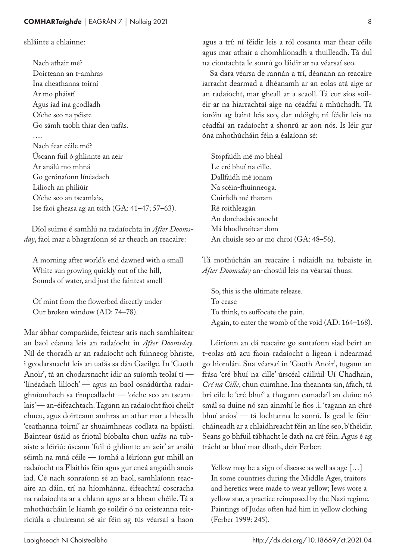#### shláinte a chlainne:

Nach athair mé? Doirteann an t‑amhras Ina cheathanna toirní Ar mo pháistí Agus iad ina gcodladh Oíche seo na péiste Go sámh taobh thiar den uafás. …. Nach fear céile mé? Úscann fuil ó ghlinnte an aeir Ar análú mo mhná Go gcrónaíonn línéadach Lilíoch an philiúir Oíche seo an tseamlais, Ise faoi gheasa ag an tsíth (GA: 41–47; 57–63).

Díol suime é samhlú na radaíochta in *After Doomsday*, faoi mar a bhagraíonn sé ar theach an reacaire:

A morning after world's end dawned with a small White sun growing quickly out of the hill, Sounds of water, and just the faintest smell

Of mint from the flowerbed directly under Our broken window (AD: 74–78).

Mar ábhar comparáide, feictear arís nach samhlaítear an baol céanna leis an radaíocht in *After Doomsday*. Níl de thoradh ar an radaíocht ach fuinneog bhriste, i gcodarsnacht leis an uafás sa dán Gaeilge. In 'Gaoth Anoir', tá an chodarsnacht idir an suíomh teolaí tí — 'línéadach lilíoch' — agus an baol osnádúrtha radai‑ ghníomhach sa timpeallacht — 'oíche seo an tseam‑ lais' — an-éifeachtach. Tagann an radaíocht faoi cheilt chucu, agus doirteann amhras an athar mar a bheadh 'ceathanna toirní' ar shuaimhneas codlata na bpáistí. Baintear úsáid as friotal bíobalta chun uafás na tubaiste a léiriú: úscann 'fuil ó ghlinnte an aeir' ar análú séimh na mná céile — íomhá a léiríonn gur mhill an radaíocht na Flaithis féin agus gur cneá angaidh anois iad. Cé nach sonraíonn sé an baol, samhlaíonn reacaire an dáin, trí na híomhánna, éifeachtaí coscracha na radaíochta ar a chlann agus ar a bhean chéile. Tá a mhothúcháin le léamh go soiléir ó na ceisteanna reitriciúla a chuireann sé air féin ag tús véarsaí a haon

agus a trí: ní féidir leis a ról cosanta mar fhear céile agus mar athair a chomhlíonadh a thuilleadh. Tá dul na ciontachta le sonrú go láidir ar na véarsaí seo.

Sa dara véarsa de rannán a trí, déanann an reacaire iarracht dearmad a dhéanamh ar an eolas atá aige ar an radaíocht, mar gheall ar a scaoll. Tá cur síos soiléir ar na hiarrachtaí aige na céadfaí a mhúchadh. Tá íoróin ag baint leis seo, dar ndóigh; ní féidir leis na céadfaí an radaíocht a shonrú ar aon nós. Is léir gur óna mhothúcháin féin a éalaíonn sé:

Stopfaidh mé mo bhéal Le cré bhuí na cille. Dallfaidh mé ionam Na scéin-fhuinneoga. Cuirfidh mé tharam Ré roithleagán An dorchadais anocht Má bhodhraítear dom An chuisle seo ar mo chroí (GA: 48–56).

Tá mothúchán an reacaire i ndiaidh na tubaiste in *After Doomsday* an-chosúil leis na véarsaí thuas:

So, this is the ultimate release. To cease To think, to suffocate the pain. Again, to enter the womb of the void (AD: 164–168).

Léiríonn an dá reacaire go santaíonn siad beirt an t‑eolas atá acu faoin radaíocht a ligean i ndearmad go hiomlán. Sna véarsaí in 'Gaoth Anoir', tugann an frása 'cré bhuí na cille' úrscéal cáiliúil Uí Chadhain, *Cré na Cille*, chun cuimhne. Ina theannta sin, áfach, tá brí eile le 'cré bhuí' a thugann camadaíl an duine nó smál sa duine nó san ainmhí le fios .i. 'tagann an chré bhuí aníos' — tá lochtanna le sonrú. Is geal le féincháineadh ar a chlaidhreacht féin an líne seo, b'fhéidir. Seans go bhfuil tábhacht le dath na cré féin. Agus é ag trácht ar bhuí mar dhath, deir Ferber:

Yellow may be a sign of disease as well as age […] In some countries during the Middle Ages, traitors and heretics were made to wear yellow; Jews wore a yellow star, a practice reimposed by the Nazi regime. Paintings of Judas often had him in yellow clothing (Ferber 1999: 245).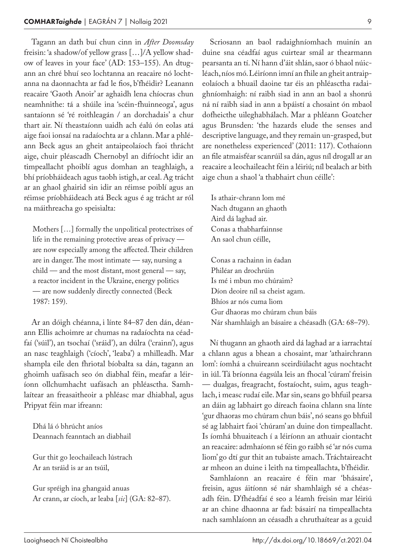Tagann an dath buí chun cinn in *After Doomsday* freisin: 'a shadow/of yellow grass […]/A yellow shad‑ ow of leaves in your face' (AD: 153-155). An dtugann an chré bhuí seo lochtanna an reacaire nó lochtanna na daonnachta ar fad le fios, b'fhéidir? Leanann reacaire 'Gaoth Anoir' ar aghaidh lena chíocras chun neamhnithe: tá a shúile ina 'scéin-fhuinneoga', agus santaíonn sé 'ré roithleagán / an dorchadais' a chur thart air. Ní theastaíonn uaidh ach éalú ón eolas atá aige faoi ionsaí na radaíochta ar a chlann. Mar a phléann Beck agus an gheit antaipeolaíoch faoi thrácht aige, chuir pléascadh Chernobyl an difríocht idir an timpeallacht phoiblí agus domhan an teaghlaigh, a bhí príobháideach agus taobh istigh, ar ceal. Ag trácht ar an ghaol ghairid sin idir an réimse poiblí agus an réimse príobháideach atá Beck agus é ag trácht ar ról na máithreacha go speisialta:

Mothers […] formally the unpolitical protectrixes of life in the remaining protective areas of privacy are now especially among the affected. Their children are in danger. The most intimate — say, nursing a child — and the most distant, most general — say, a reactor incident in the Ukraine, energy politics — are now suddenly directly connected (Beck 1987: 159).

Ar an dóigh chéanna, i línte 84–87 den dán, déanann Ellis achoimre ar chumas na radaíochta na céadfaí ('súil'), an tsochaí ('sráid'), an dúlra ('crainn'), agus an nasc teaghlaigh ('cíoch', 'leaba') a mhilleadh. Mar shampla eile den fhriotal bíobalta sa dán, tagann an ghoimh uafásach seo ón diabhal féin, meafar a léiríonn ollchumhacht uafásach an phléasctha. Samhlaítear an freasaitheoir a phléasc mar dhiabhal, agus Pripyat féin mar ifreann:

Dhá lá ó bhrúcht aníos Deannach feanntach an diabhail

Gur thit go leochaileach lústrach Ar an tsráid is ar an tsúil,

Gur spréigh ina ghangaid anuas Ar crann, ar cíoch, ar leaba [*sic*] (GA: 82–87).

Scriosann an baol radaighníomhach muinín an duine sna céadfaí agus cuirtear smál ar thearmann pearsanta an tí. Ní hann d'áit shlán, saor ó bhaol núicléach, níos mó. Léiríonn imní an fhile an gheit antraipeolaíoch a bhuail daoine tar éis an phléasctha radaighníomhaigh: ní raibh siad in ann an baol a shonrú ná ní raibh siad in ann a bpáistí a chosaint ón mbaol dofheicthe uileghabhálach. Mar a phléann Goatcher agus Brunsden: 'the hazards elude the senses and descriptive language, and they remain un-grasped, but are nonetheless experienced' (2011: 117). Cothaíonn an file atmaisféar scanrúil sa dán, agus níl drogall ar an reacaire a leochaileacht féin a léiriú; níl bealach ar bith aige chun a shaol 'a thabhairt chun céille':

Is athair-chrann lom mé Nach dtugann an ghaoth Aird dá laghad air. Conas a thabharfainnse An saol chun céille,

Conas a rachainn in éadan Philéar an drochrúin Is mé i mbun mo chúraim? Díon deoire níl sa cheist agam. Bhíos ar nós cuma liom Gur dhaoras mo chúram chun báis Nár shamhlaigh an básaire a chéasadh (GA: 68–79).

Ní thugann an ghaoth aird dá laghad ar a iarrachtaí a chlann agus a bhean a chosaint, mar 'athairchrann lom': íomhá a chuireann sceirdiúlacht agus nochtacht in iúl. Tá bríonna éagsúla leis an fhocal 'cúram' freisin — dualgas, freagracht, fostaíocht, suim, agus teagh‑ lach, i measc rudaí eile. Mar sin, seans go bhfuil pearsa an dáin ag labhairt go díreach faoina chlann sna línte 'gur dhaoras mo chúram chun báis', nó seans go bhfuil sé ag labhairt faoi 'chúram' an duine don timpeallacht. Is íomhá bhuaiteach í a léiríonn an athuair ciontacht an reacaire: admhaíonn sé féin go raibh sé 'ar nós cuma liom' go dtí gur thit an tubaiste amach. Tráchtaireacht ar mheon an duine i leith na timpeallachta, b'fhéidir.

Samhlaíonn an reacaire é féin mar 'bhásaire', freisin, agus áitíonn sé nár shamhlaigh sé a chéasadh féin. D'fhéadfaí é seo a léamh freisin mar léiriú ar an chine dhaonna ar fad: básairí na timpeallachta nach samhlaíonn an céasadh a chruthaítear as a gcuid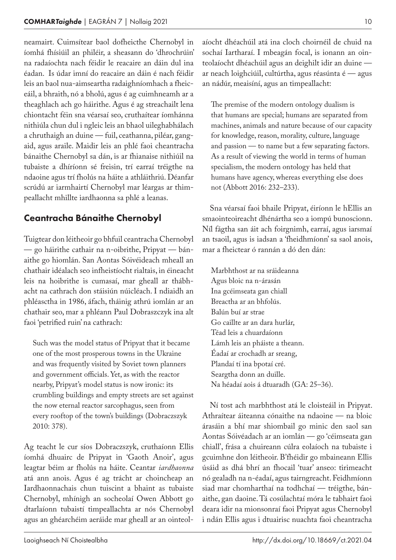neamairt. Cuimsítear baol dofheicthe Chernobyl in íomhá fhísiúil an philéir, a sheasann do 'dhrochrúin' na radaíochta nach féidir le reacaire an dáin dul ina éadan. Is údar imní do reacaire an dáin é nach féidir leis an baol nua-aimseartha radaighníomhach a fheiceáil, a bhraith, nó a bholú, agus é ag cuimhneamh ar a theaghlach ach go háirithe. Agus é ag streachailt lena chiontacht féin sna véarsaí seo, cruthaítear íomhánna nithiúla chun dul i ngleic leis an bhaol uileghabhálach a chruthaigh an duine — fuil, ceathanna, piléar, gangaid, agus araile. Maidir leis an phlé faoi cheantracha bánaithe Chernobyl sa dán, is ar fhianaise nithiúil na tubaiste a dhíríonn sé freisin, trí earraí tréigthe na ndaoine agus trí fholús na háite a athláithriú. Déanfar scrúdú ar iarmhairtí Chernobyl mar léargas ar thimpeallacht mhillte iardhaonna sa phlé a leanas.

#### Ceantracha Bánaithe Chernobyl

Tuigtear don léitheoir go bhfuil ceantracha Chernobyl — go háirithe cathair na n-oibrithe, Pripyat — bánaithe go hiomlán. San Aontas Sóivéideach mheall an chathair idéalach seo infheistíocht rialtais, in éineacht leis na hoibrithe is cumasaí, mar gheall ar thábhacht na cathrach don stáisiún núicléach. I ndiaidh an phléasctha in 1986, áfach, tháinig athrú iomlán ar an chathair seo, mar a phléann Paul Dobraszczyk ina alt faoi 'petrified ruin' na cathrach:

Such was the model status of Pripyat that it became one of the most prosperous towns in the Ukraine and was frequently visited by Soviet town planners and government officials. Yet, as with the reactor nearby, Pripyat's model status is now ironic: its crumbling buildings and empty streets are set against the now eternal reactor sarcophagus, seen from every rooftop of the town's buildings (Dobraczszyk 2010: 378).

Ag teacht le cur síos Dobraczszyk, cruthaíonn Ellis íomhá dhuairc de Pripyat in 'Gaoth Anoir', agus leagtar béim ar fholús na háite. Ceantar *iardhaonna* atá ann anois. Agus é ag trácht ar choincheap an Iardhaonnachais chun tuiscint a bhaint as tubaiste Chernobyl, mhínigh an socheolaí Owen Abbott go dtarlaíonn tubaistí timpeallachta ar nós Chernobyl agus an ghéarchéim aeráide mar gheall ar an ointeolaíocht dhéachúil atá ina cloch choirnéil de chuid na sochaí Iartharaí. I mbeagán focal, is ionann an ointeolaíocht dhéachúil agus an deighilt idir an duine ar neach loighciúil, cultúrtha, agus réasúnta é — agus an nádúr, meaisíní, agus an timpeallacht:

The premise of the modern ontology dualism is that humans are special; humans are separated from machines, animals and nature because of our capacity for knowledge, reason, morality, culture, language and passion — to name but a few separating factors. As a result of viewing the world in terms of human specialism, the modern ontology has held that humans have agency, whereas everything else does not (Abbott 2016: 232–233).

Sna véarsaí faoi bhaile Pripyat, éiríonn le hEllis an smaointeoireacht dhénártha seo a iompú bunoscionn. Níl fágtha san áit ach foirgnimh, earraí, agus iarsmaí an tsaoil, agus is iadsan a 'fheidhmíonn' sa saol anois, mar a fheictear ó rannán a dó den dán:

Marbhthost ar na sráideanna Agus bloic na n‑árasán Ina gcéimseata gan chiall Breactha ar an bhfolús. Balún buí ar strae Go caillte ar an dara hurlár, Téad leis a chuardaíonn Lámh leis an pháiste a theann. Éadaí ar crochadh ar sreang, Plandaí tí ina bpotaí cré. Seargtha donn an duille. Na héadaí aois á dtuaradh (GA: 25–36).

Ní tost ach marbhthost atá le cloisteáil in Pripyat. Athraítear áiteanna cónaithe na ndaoine — na bloic árasáin a bhí mar shiombail go minic den saol san Aontas Sóivéadach ar an iomlán — go 'céimseata gan chiall', frása a chuireann cúlra eolaíoch na tubaiste i gcuimhne don léitheoir. B'fhéidir go mbaineann Ellis úsáid as dhá bhrí an fhocail 'tuar' anseo: tirimeacht nó gealadh na n‑éadaí, agus tairngreacht. Feidhmíonn siad mar chomharthaí na todhchaí - tréigthe, bánaithe, gan daoine. Tá cosúlachtaí móra le tabhairt faoi deara idir na mionsonraí faoi Pripyat agus Chernobyl i ndán Ellis agus i dtuairisc nuachta faoi cheantracha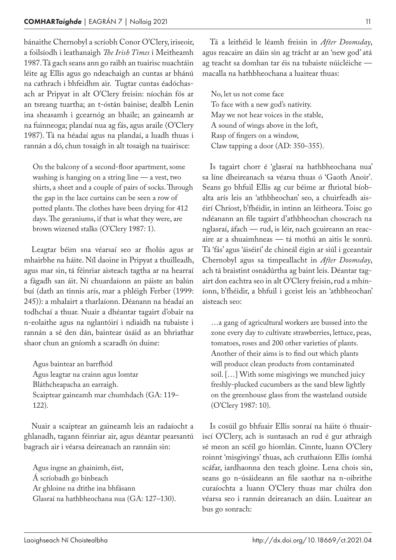bánaithe Chernobyl a scríobh Conor O'Clery, iriseoir, a foilsíodh i leathanaigh *The Irish Times* i Meitheamh 1987. Tá gach seans ann go raibh an tuairisc nuachtáin léite ag Ellis agus go ndeachaigh an cuntas ar bhánú na cathrach i bhfeidhm air. Tugtar cuntas éadóchasach ar Pripyat in alt O'Clery freisin: níochán fós ar an tsreang tuartha; an t‑óstán bainise; dealbh Lenin ina sheasamh i gcearnóg an bhaile; an gaineamh ar na fuinneoga; plandaí nua ag fás, agus araile (O'Clery 1987). Tá na héadaí agus na plandaí, a luadh thuas i rannán a dó, chun tosaigh in alt tosaigh na tuairisce:

On the balcony of a second-floor apartment, some washing is hanging on a string line — a vest, two shirts, a sheet and a couple of pairs of socks. Through the gap in the lace curtains can be seen a row of potted plants. The clothes have been drying for 412 days. The geraniums, if that is what they were, are brown wizened stalks (O'Clery 1987: 1).

Leagtar béim sna véarsaí seo ar fholús agus ar mhairbhe na háite. Níl daoine in Pripyat a thuilleadh, agus mar sin, tá féinriar aisteach tagtha ar na hearraí a fágadh san áit. Ní chuardaíonn an páiste an balún buí (dath an tinnis arís, mar a phléigh Ferber (1999: 245)): a mhalairt a tharlaíonn. Déanann na héadaí an todhchaí a thuar. Nuair a dhéantar tagairt d'obair na n‑eolaithe agus na nglantóirí i ndiaidh na tubaiste i rannán a sé den dán, baintear úsáid as an bhriathar shaor chun an gníomh a scaradh ón duine:

Agus baintear an barrfhód Agus leagtar na crainn agus lomtar Bláthcheapacha an earraigh. Scaiptear gaineamh mar chumhdach (GA: 119– 122).

Nuair a scaiptear an gaineamh leis an radaíocht a ghlanadh, tagann féinriar air, agus déantar pearsantú bagrach air i véarsa deireanach an rannáin sin:

Agus ingne an ghainimh, éist, Á scríobadh go binbeach Ar ghloine na dtithe ina bhfásann Glasraí na hathbheochana nua (GA: 127–130).

Tá a leithéid le léamh freisin in *After Doomsday*, agus reacaire an dáin sin ag trácht ar an 'new god' atá ag teacht sa domhan tar éis na tubaiste núicléiche macalla na hathbheochana a luaitear thuas:

No, let us not come face To face with a new god's nativity. May we not hear voices in the stable, A sound of wings above in the loft, Rasp of fingers on a window, Claw tapping a door (AD: 350–355).

Is tagairt chorr é 'glasraí na hathbheochana nua' sa líne dheireanach sa véarsa thuas ó 'Gaoth Anoir'. Seans go bhfuil Ellis ag cur béime ar fhriotal bíobalta arís leis an 'athbheochan' seo, a chuirfeadh ais‑ éirí Chríost, b'fhéidir, in intinn an léitheora. Toisc go ndéanann an file tagairt d'athbheochan choscrach na nglasraí, áfach — rud, is léir, nach gcuireann an reacaire ar a shuaimhneas — tá mothú an aitis le sonrú. Tá 'fás' agus 'áiséirí' de chineál éigin ar siúl i gceantair Chernobyl agus sa timpeallacht in *After Doomsday*, ach tá braistint osnádúrtha ag baint leis. Déantar tagairt don eachtra seo in alt O'Clery freisin, rud a mhíníonn, b'fhéidir, a bhfuil i gceist leis an 'athbheochan' aisteach seo:

…a gang of agricultural workers are bussed into the zone every day to cultivate strawberries, lettuce, peas, tomatoes, roses and 200 other varieties of plants. Another of their aims is to find out which plants will produce clean products from contaminated soil. […] With some misgivings we munched juicy freshly-plucked cucumbers as the sand blew lightly on the greenhouse glass from the wasteland outside (O'Clery 1987: 10).

Is cosúil go bhfuair Ellis sonraí na háite ó thuairiscí O'Clery, ach is suntasach an rud é gur athraigh sé meon an scéil go hiomlán. Cinnte, luann O'Clery roinnt 'misgivings' thuas, ach cruthaíonn Ellis íomhá scáfar, iardhaonna den teach gloine. Lena chois sin, seans go n‑úsáideann an file saothar na n‑oibrithe curaíochta a luann O'Clery thuas mar chúlra don véarsa seo i rannán deireanach an dáin. Luaitear an bus go sonrach: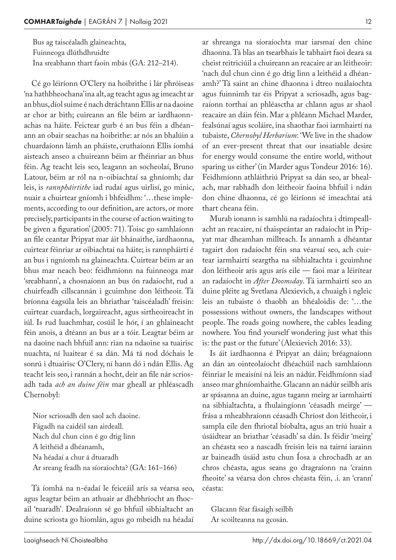Bus ag taiscéaladh glaineachta, Fuinneoga dlúthdhruidte Ina sreabhann thart faoin mbás (GA: 212–214).

Cé go léiríonn O'Clery na hoibrithe i lár phróiseas 'na hathbheochana' ina alt, ag teacht agus ag imeacht ar an bhus, díol suime é nach dtráchtann Ellis ar na daoine ar chor ar bith; cuireann an file béim ar iardhaonn‑ achas na háite. Feictear gurb é an bus féin a dhéan‑ ann an obair seachas na hoibrithe: ar nós an bhalúin a chuardaíonn lámh an pháiste, cruthaíonn Ellis íomhá aisteach anseo a chuireann béim ar fhéinriar an bhus féin. Ag teacht leis seo, leagann an socheolaí, Bruno Latour, béim ar ról na n-oibiachtaí sa ghníomh; dar leis, is *rannpháirtithe* iad rudaí agus uirlisí, go minic, nuair a chuirtear gníomh i bhfeidhm: '...these implements, according to our definition, are actors, or more precisely, participants in the course of action waiting to be given a figuration' (2005: 71). Toisc go samhlaíonn an file ceantar Pripyat mar áit bhánaithe, iardhaonna, cuirtear féinriar ar oibiachtaí na háite; is rannpháirtí é an bus i ngníomh na glaineachta. Cuirtear béim ar an bhus mar neach beo: feidhmíonn na fuinneoga mar 'sreabhann', a chosnaíonn an bus ón radaíocht, rud a chuirfeadh cillscannán i gcuimhne don léitheoir. Tá bríonna éagsúla leis an bhriathar 'taiscéaladh' freisin: cuirtear cuardach, lorgaireacht, agus sirtheoireacht in iúl. Is rud luachmhar, cosúil le hór, í an ghlaineacht féin anois, a dtéann an bus ar a tóir. Leagtar béim ar na daoine nach bhfuil ann: rian na ndaoine sa tuairisc nuachta, ní luaitear é sa dán. Má tá nod dóchais le sonrú i dtuairisc O'Clery, ní hann dó i ndán Ellis. Ag teacht leis seo, i rannán a hocht, deir an file nár scriosadh tada *ach an duine féin* mar gheall ar phléascadh Chernobyl:

Níor scriosadh den saol ach daoine. Fágadh na caidéil san airdeall. Nach dul chun cinn é go dtig linn A leithéid a dhéanamh, Na héadaí a chur á dtuaradh Ar sreang feadh na síoraíochta? (GA: 161–166)

Tá íomhá na n‑éadaí le feiceáil arís sa véarsa seo, agus leagtar béim an athuair ar dhébhríocht an fhocail 'tuaradh'. Dealraíonn sé go bhfuil sibhialtacht an duine scriosta go hiomlán, agus go mbeidh na héadaí ar shreanga na síoraíochta mar iarsmaí den chine dhaonna. Tá blas an tsearbhais le tabhairt faoi deara sa cheist reitriciúil a chuireann an reacaire ar an léitheoir: 'nach dul chun cinn é go dtig linn a leithéid a dhéanamh?' Tá saint an chine dhaonna i dtreo nuálaíochta agus fuinnimh tar éis Pripyat a scriosadh, agus bagraíonn torthaí an phléasctha ar chlann agus ar shaol reacaire an dáin féin. Mar a phléann Michael Marder, fealsúnaí agus scoláire, ina shaothar faoi iarmhairtí na tubaiste, *Chernobyl Herbarium*: 'We live in the shadow of an ever-present threat that our insatiable desire for energy would consume the entire world, without sparing us either' (in Marder agus Tondeur 2016: 16). Feidhmíonn athláithriú Pripyat sa dán seo, ar bhealach, mar rabhadh don léitheoir faoina bhfuil i ndán don chine dhaonna, cé go léiríonn sé imeachtaí atá thart cheana féin.

Murab ionann is samhlú na radaíochta i dtimpeallacht an reacaire, ní thaispeántar an radaíocht in Pripyat mar dheamhan millteach. Is annamh a dhéantar tagairt don radaíocht féin sna véarsaí seo, ach cuirtear iarmhairtí seargtha na sibhialtachta i gcuimhne don léitheoir arís agus arís eile — faoi mar a léirítear an radaíocht in *After Doomsday*. Tá iarmhairtí seo an duine pléite ag Svetlana Alexievich, a chuaigh i ngleic leis an tubaiste ó thaobh an bhéaloidis de: '…the possessions without owners, the landscapes without people. The roads going nowhere, the cables leading nowhere. You find yourself wondering just what this is: the past or the future' (Alexievich 2016: 33).

Is áit iardhaonna é Pripyat an dáin; bréagnaíonn an dán an ointeolaíocht dhéachúil nach samhlaíonn féinriar le meaisíní ná leis an nádúr. Feidhmíonn siad anseo mar ghníomhaithe. Glacann an nádúr seilbh arís ar spásanna an duine, agus tagann meirg ar iarmhairtí na sibhialtachta, a fhulaingíonn 'céasadh meirge' frása a mheabhraíonn céasadh Chríost don léitheoir, i sampla eile den fhriotal bíobalta, agus an tríú huair a úsáidtear an briathar 'céasadh' sa dán. Is féidir 'meirg' an chéasta seo a nascadh freisin leis na tairní iarainn ar baineadh úsáid astu chun Íosa a chrochadh ar an chros chéasta, agus seans go dtagraíonn na 'crainn fheoite' sa véarsa don chros chéasta féin, .i. an 'crann' céasta:

Glacann féar fásaigh seilbh Ar scoilteanna na gcosán.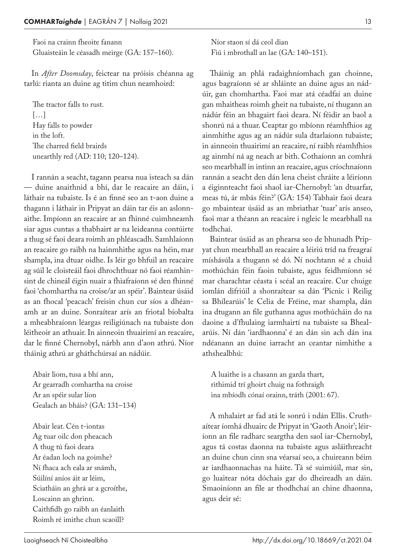Faoi na crainn fheoite fanann Gluaisteáin le céasadh meirge (GA: 157–160).

In *After Doomsday*, feictear na próisis chéanna ag tarlú: rianta an duine ag titim chun neamhoird:

The tractor falls to rust.  $[...]$ Hay falls to powder in the loft. The charred field brairds unearthly red (AD: 110; 120–124).

I rannán a seacht, tagann pearsa nua isteach sa dán — duine anaithnid a bhí, dar le reacaire an dáin, i láthair na tubaiste. Is é an finné seo an t‑aon duine a thagann i láthair in Pripyat an dáin tar éis an aslonn‑ aithe. Impíonn an reacaire ar an fhinné cuimhneamh siar agus cuntas a thabhairt ar na leideanna contúirte a thug sé faoi deara roimh an phléascadh. Samhlaíonn an reacaire go raibh na hainmhithe agus na héin, mar shampla, ina dtuar oidhe. Is léir go bhfuil an reacaire ag súil le cloisteáil faoi dhrochthuar nó faoi réamhinsint de chineál éigin nuair a fhiafraíonn sé den fhinné faoi 'chomhartha na croise/ar an spéir'. Baintear úsáid as an fhocal 'peacach' freisin chun cur síos a dhéanamh ar an duine. Sonraítear arís an friotal bíobalta a mheabhraíonn léargas reiligiúnach na tubaiste don léitheoir an athuair. In ainneoin thuairimí an reacaire, dar le finné Chernobyl, nárbh ann d'aon athrú. Níor tháinig athrú ar gháthchúrsaí an nádúir.

Abair liom, tusa a bhí ann, Ar gearradh comhartha na croise Ar an spéir sular líon Gealach an bháis? (GA: 131–134)

Abair leat. Cén t‑iontas Ag tuar oilc don pheacach A thug tú faoi deara Ar éadan loch na goimhe? Ní fhaca ach eala ar snámh, Súilíní aníos áit ar léim, Sciatháin an ghrá ar a gcroíthe, Loscainn an ghrinn. Caithfidh go raibh an éanlaith Roimh ré imithe chun scaoill?

Níor staon sí dá ceol dian Fiú i mbrothall an lae (GA: 140–151).

Tháinig an phlá radaighníomhach gan choinne, agus bagraíonn sé ar shláinte an duine agus an nádúir, gan chomhartha. Faoi mar atá céadfaí an duine gan mhaitheas roimh gheit na tubaiste, ní thugann an nádúr féin an bhagairt faoi deara. Ní féidir an baol a shonrú ná a thuar. Ceaptar go mbíonn réamhfhios ag ainmhithe agus ag an nádúr sula dtarlaíonn tubaiste; in ainneoin thuairimí an reacaire, ní raibh réamhfhios ag ainmhí ná ag neach ar bith. Cothaíonn an comhrá seo mearbhall in intinn an reacaire, agus críochnaíonn rannán a seacht den dán lena cheist chráite a léiríonn a éiginnteacht faoi shaol iar-Chernobyl: 'an dtuarfar, meas tú, ár mbás féin?' (GA: 154) Tabhair faoi deara go mbaintear úsáid as an mbriathar 'tuar' arís anseo, faoi mar a théann an reacaire i ngleic le mearbhall na todhchaí.

Baintear úsáid as an phearsa seo de bhunadh Pripyat chun mearbhall an reacaire a léiriú tríd na freagraí míshásúla a thugann sé dó. Ní nochtann sé a chuid mothúchán féin faoin tubaiste, agus feidhmíonn sé mar charachtar céasta i scéal an reacaire. Cur chuige iomlán difriúil a shonraítear sa dán 'Picnic i Reilig sa Bhílearúis' le Celia de Fréine, mar shampla, dán ina dtugann an file guthanna agus mothúcháin do na daoine a d'fhulaing iarmhairtí na tubaiste sa Bheal‑ arúis. Ní dán 'iardhaonna' é an dán sin ach dán ina ndéanann an duine iarracht an ceantar nimhithe a athshealbhú:

A luaithe is a chasann an garda thart, rithimid trí ghoirt chuig na fothraigh ina mbíodh cónaí orainn, tráth (2001: 67).

A mhalairt ar fad atá le sonrú i ndán Ellis. Cruth‑ aítear íomhá dhuairc de Pripyat in 'Gaoth Anoir'; léiríonn an file radharc seargtha den saol iar-Chernobyl, agus tá costas daonna na tubaiste agus asláithreacht an duine chun cinn sna véarsaí seo, a chuireann béim ar iardhaonnachas na háite. Tá sé suimiúil, mar sin, go luaitear nóta dóchais gar do dheireadh an dáin. Smaoiníonn an file ar thodhchaí an chine dhaonna, agus deir sé: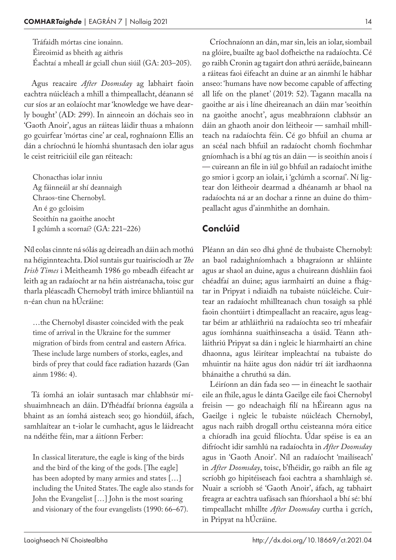Tráfaidh mórtas cine ionainn. Éireoimid as bheith ag aithris Éachtaí a mheall ár gciall chun siúil (GA: 203–205).

Agus reacaire *After Doomsday* ag labhairt faoin eachtra núicléach a mhill a thimpeallacht, déanann sé cur síos ar an eolaíocht mar 'knowledge we have dearly bought' (AD: 299). In ainneoin an dóchais seo in 'Gaoth Anoir', agus an ráiteas láidir thuas a mhaíonn go gcuirfear 'mórtas cine' ar ceal, roghnaíonn Ellis an dán a chríochnú le híomhá shuntasach den iolar agus le ceist reitriciúil eile gan réiteach:

Chonacthas iolar inniu Ag fáinneáil ar shí deannaigh Chraos-tine Chernobyl. An é go gcloisim Seoithín na gaoithe anocht I gclúmh a scornaí? (GA: 221–226)

Níl eolas cinnte ná sólás ag deireadh an dáin ach mothú na héiginnteachta. Díol suntais gur tuairiscíodh ar *The Irish Times* i Meitheamh 1986 go mbeadh éifeacht ar leith ag an radaíocht ar na héin aistréanacha, toisc gur tharla pléascadh Chernobyl tráth imirce bhliantúil na n‑éan chun na hÚcráine:

…the Chernobyl disaster coincided with the peak time of arrival in the Ukraine for the summer migration of birds from central and eastern Africa. These include large numbers of storks, eagles, and birds of prey that could face radiation hazards (Gan ainm 1986: 4).

Tá íomhá an iolair suntasach mar chlabhsúr mí‑ shuaimhneach an dáin. D'fhéadfaí bríonna éagsúla a bhaint as an íomhá aisteach seo; go hiondúil, áfach, samhlaítear an t-iolar le cumhacht, agus le láidreacht na ndéithe féin, mar a áitíonn Ferber:

In classical literature, the eagle is king of the birds and the bird of the king of the gods. [The eagle] has been adopted by many armies and states […] including the United States. The eagle also stands for John the Evangelist […] John is the most soaring and visionary of the four evangelists (1990: 66–67).

Críochnaíonn an dán, mar sin, leis an iolar, siombail na glóire, buailte ag baol dofheicthe na radaíochta. Cé go raibh Cronin ag tagairt don athrú aeráide, baineann a ráiteas faoi éifeacht an duine ar an ainmhí le hábhar anseo: 'humans have now become capable of affecting all life on the planet' (2019: 52). Tagann macalla na gaoithe ar ais i líne dheireanach an dáin mar 'seoithín na gaoithe anocht', agus meabhraíonn clabhsúr an dáin an ghaoth anoir don léitheoir — samhail mhillteach na radaíochta féin. Cé go bhfuil an chuma ar an scéal nach bhfuil an radaíocht chomh fíochmhar gníomhach is a bhí ag tús an dáin — is seoithín anois í — cuireann an file in iúl go bhfuil an radaíocht imithe go smior i gcorp an iolair, i 'gclúmh a scornaí'. Ní ligtear don léitheoir dearmad a dhéanamh ar bhaol na radaíochta ná ar an dochar a rinne an duine do thimpeallacht agus d'ainmhithe an domhain.

#### Conclúid

Pléann an dán seo dhá ghné de thubaiste Chernobyl: an baol radaighníomhach a bhagraíonn ar shláinte agus ar shaol an duine, agus a chuireann dúshláin faoi chéadfaí an duine; agus iarmhairtí an duine a fhágtar in Pripyat i ndiaidh na tubaiste núicléiche. Cuirtear an radaíocht mhillteanach chun tosaigh sa phlé faoin chontúirt i dtimpeallacht an reacaire, agus leagtar béim ar athláithriú na radaíochta seo trí mheafair agus íomhánna suaithinseacha a úsáid. Téann athláithriú Pripyat sa dán i ngleic le hiarmhairtí an chine dhaonna, agus léirítear impleachtaí na tubaiste do mhuintir na háite agus don nádúr trí áit iardhaonna bhánaithe a chruthú sa dán.

Léiríonn an dán fada seo — in éineacht le saothair eile an fhile, agus le dánta Gaeilge eile faoi Chernobyl freisin — go ndeachaigh filí na hÉireann agus na Gaeilge i ngleic le tubaiste núicléach Chernobyl, agus nach raibh drogall orthu ceisteanna móra eitice a chíoradh ina gcuid filíochta. Údar spéise is ea an difríocht idir samhlú na radaíochta in *After Doomsday* agus in 'Gaoth Anoir'. Níl an radaíocht 'mailíseach' in *After Doomsday*, toisc, b'fhéidir, go raibh an file ag scríobh go hipitéiseach faoi eachtra a shamhlaigh sé. Nuair a scríobh sé 'Gaoth Anoir', áfach, ag tabhairt freagra ar eachtra uafásach san fhíorshaol a bhí sé: bhí timpeallacht mhillte *After Doomsday* curtha i gcrích, in Pripyat na hÚcráine.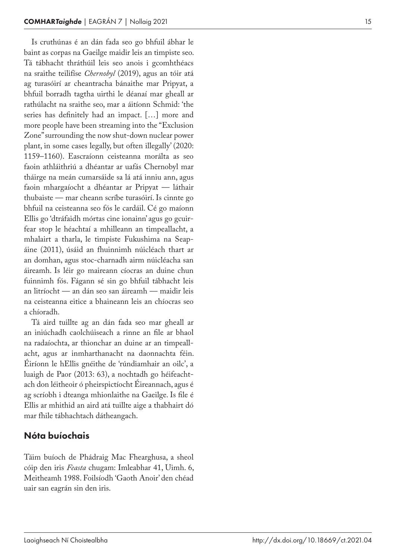Is cruthúnas é an dán fada seo go bhfuil ábhar le baint as corpas na Gaeilge maidir leis an timpiste seo. Tá tábhacht thráthúil leis seo anois i gcomhthéacs na sraithe teilifíse *Chernobyl* (2019), agus an tóir atá ag turasóirí ar cheantracha bánaithe mar Pripyat, a bhfuil borradh tagtha uirthi le déanaí mar gheall ar rathúlacht na sraithe seo, mar a áitíonn Schmid: 'the series has definitely had an impact. […] more and more people have been streaming into the "Exclusion Zone" surrounding the now shut -down nuclear power plant, in some cases legally, but often illegally' (2020: 1159–1160). Eascraíonn ceisteanna morálta as seo faoin athláithriú a dhéantar ar uafás Chernobyl mar tháirge na meán cumarsáide sa lá atá inniu ann, agus faoin mhargaíocht a dhéantar ar Pripyat — láthair thubaiste — mar cheann scríbe turasóirí. Is cinnte go bhfuil na ceisteanna seo fós le cardáil. Cé go maíonn Ellis go 'dtráfaidh mórtas cine ionainn' agus go gcuir ‑ fear stop le héachtaí a mhilleann an timpeallacht, a mhalairt a tharla, le timpiste Fukushima na Seap ‑ áine (2011), úsáid an fhuinnimh núicléach thart ar an domhan, agus stoc -charnadh airm núicléacha san áireamh. Is léir go maireann cíocras an duine chun fuinnimh fós. Fágann sé sin go bhfuil tábhacht leis an litríocht — an dán seo san áireamh — maidir leis na ceisteanna eitice a bhaineann leis an chíocras seo a chíoradh.

Tá aird tuillte ag an dán fada seo mar gheall ar an iniúchadh caolchúiseach a rinne an file ar bhaol na radaíochta, ar thionchar an duine ar an timpeall ‑ acht, agus ar inmharthanacht na daonnachta féin. Éiríonn le hEllis gnéithe de 'rúndiamhair an oilc', a luaigh de Paor (2013: 63), a nochtadh go héifeacht ‑ ach don léitheoir ó pheirspictíocht Éireannach, agus é ag scríobh i dteanga mhionlaithe na Gaeilge. Is file é Ellis ar mhithid an aird atá tuillte aige a thabhairt dó mar fhile tábhachtach dátheangach.

#### Nóta buíochais

Táim buíoch de Phádraig Mac Fhearghusa, a sheol cóip den iris *Feasta* chugam: Imleabhar 41, Uimh. 6, Meitheamh 1988. Foilsíodh 'Gaoth Anoir' den chéad uair san eagrán sin den iris.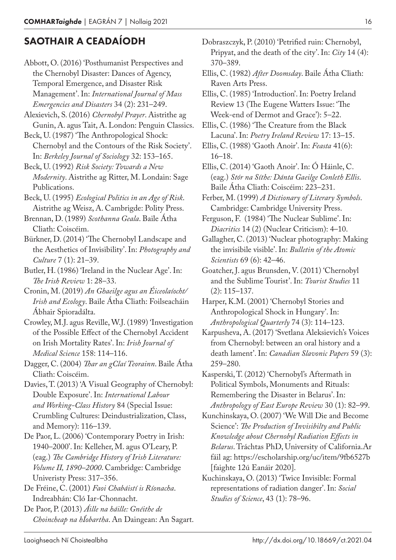### SAOTHAIR A CEADAÍODH

- Abbott, O. (2016) 'Posthumanist Perspectives and the Chernobyl Disaster: Dances of Agency, Temporal Emergence, and Disaster Risk Management'. In: *International Journal of Mass Emergencies and Disasters* 34 (2): 231–249.
- Alexievich, S. (2016) *Chernobyl Prayer*. Aistrithe ag Gunin, A. agus Tait, A. London: Penguin Classics.
- Beck, U. (1987) 'The Anthropological Shock: Chernobyl and the Contours of the Risk Society'. In: *Berkeley Journal of Sociology* 32: 153–165.
- Beck, U. (1992) *Risk Society: Towards a New Modernity*. Aistrithe ag Ritter, M. Londain: Sage Publications.
- Beck, U. (1995) *Ecological Politics in an Age of Risk*. Aistrithe ag Weisz, A. Cambrigde: Polity Press.
- Brennan, D. (1989) *Scothanna Geala*. Baile Átha Cliath: Coiscéim.
- Bürkner, D. (2014) 'The Chernobyl Landscape and the Aesthetics of Invisibility'. In: *Photography and Culture* 7 (1): 21–39.
- Butler, H. (1986) 'Ireland in the Nuclear Age'. In: *The Irish Review* 1: 28–33.
- Cronin, M. (2019) *An Ghaeilge agus an Éiceolaíocht/ Irish and Ecology*. Baile Átha Cliath: Foilseacháin Ábhair Spioradálta.
- Crowley, M.J. agus Reville, W.J. (1989) 'Investigation of the Possible Effect of the Chernobyl Accident on Irish Mortality Rates'. In: *Irish Journal of Medical Science* 158: 114–116.
- Dagger, C. (2004) *Thar an gClaí Teorainn*. Baile Átha Cliath: Coiscéim.
- Davies, T. (2013) 'A Visual Geography of Chernobyl: Double Exposure'. In: *International Labour and Working-Class History* 84 (Special Issue: Crumbling Cultures: Deindustrialization, Class, and Memory): 116–139.
- De Paor, L. (2006) 'Contemporary Poetry in Irish: 1940–2000'. In: Kelleher, M. agus O'Leary, P. (eag.) *The Cambridge History of Irish Literature: Volume II, 1890–2000*. Cambridge: Cambridge Univeristy Press: 317–356.
- De Fréine, C. (2001) *Faoi Chabáistí is Ríonacha*. Indreabhán: Cló Iar-Chonnacht.
- De Paor, P. (2013) *Áille na háille: Gnéithe de Choincheap na hÍobartha*. An Daingean: An Sagart.
- Dobraszczyk, P. (2010) 'Petrified ruin: Chernobyl, Pripyat, and the death of the city'. In: *City* 14 (4): 370–389.
- Ellis, C. (1982) *After Doomsday*. Baile Átha Cliath: Raven Arts Press.
- Ellis, C. (1985) 'Introduction'. In: Poetry Ireland Review 13 (The Eugene Watters Issue: 'The Week-end of Dermot and Grace'): 5–22.
- Ellis, C. (1986) 'The Creature from the Black Lacuna'. In: *Poetry Ireland Review* 17: 13–15.
- Ellis, C. (1988) 'Gaoth Anoir'. In: *Feasta* 41(6): 16–18.
- Ellis, C. (2014) 'Gaoth Anoir'. In: Ó Háinle, C. (eag.) *Stór na Síthe: Dánta Gaeilge Conleth Ellis*. Baile Átha Cliath: Coiscéim: 223–231.
- Ferber, M. (1999) *A Dictionary of Literary Symbols*. Cambridge: Cambridge University Press.
- Ferguson, F. (1984) 'The Nuclear Sublime'. In: *Diacritics* 14 (2) (Nuclear Criticism): 4–10.
- Gallagher, C. (2013) 'Nuclear photography: Making the invisibile visible'. In: *Bulletin of the Atomic Scientists* 69 (6): 42–46.
- Goatcher, J. agus Brunsden, V. (2011) 'Chernobyl and the Sublime Tourist'. In: *Tourist Studies* 11 (2): 115–137.
- Harper, K.M. (2001) 'Chernobyl Stories and Anthropological Shock in Hungary'. In: *Anthropological Quarterly* 74 (3): 114–123.
- Karpusheva, A. (2017) 'Svetlana Aleksievich's Voices from Chernobyl: between an oral history and a death lament'. In: *Canadian Slavonic Papers* 59 (3): 259–280.
- Kasperski, T. (2012) 'Chernobyl's Aftermath in Political Symbols, Monuments and Rituals: Remembering the Disaster in Belarus'. In: *Anthropology of East Europe Review* 30 (1): 82–99.
- Kunchinskaya, O. (2007) 'We Will Die and Become Science': *The Production of Invisibilty and Public Knowledge about Chernobyl Radiation Effects in Belarus*. Tráchtas PhD, University of California.Ar fáil ag: https://escholarship.org/uc/item/9fb6527b [faighte 12ú Eanáir 2020].
- Kuchinskaya, O. (2013) 'Twice Invisible: Formal representations of radiation danger'. In: *Social Studies of Science*, 43 (1): 78–96.